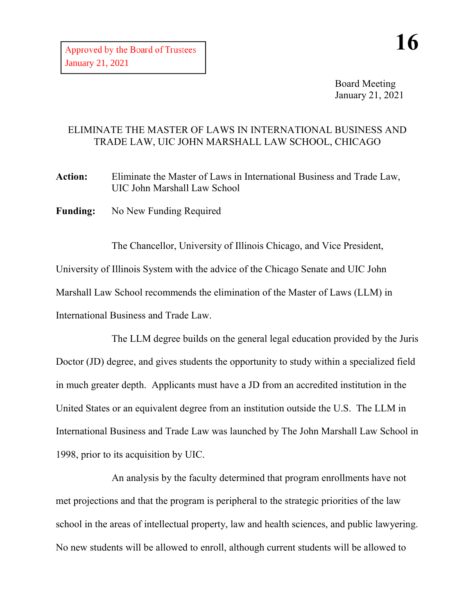Board Meeting January 21, 2021

## ELIMINATE THE MASTER OF LAWS IN INTERNATIONAL BUSINESS AND TRADE LAW, UIC JOHN MARSHALL LAW SCHOOL, CHICAGO

**Action:** Eliminate the Master of Laws in International Business and Trade Law, UIC John Marshall Law School

Funding: No New Funding Required

The Chancellor, University of Illinois Chicago, and Vice President, University of Illinois System with the advice of the Chicago Senate and UIC John Marshall Law School recommends the elimination of the Master of Laws (LLM) in International Business and Trade Law.

The LLM degree builds on the general legal education provided by the Juris Doctor (JD) degree, and gives students the opportunity to study within a specialized field in much greater depth. Applicants must have a JD from an accredited institution in the United States or an equivalent degree from an institution outside the U.S. The LLM in International Business and Trade Law was launched by The John Marshall Law School in 1998, prior to its acquisition by UIC.

An analysis by the faculty determined that program enrollments have not met projections and that the program is peripheral to the strategic priorities of the law school in the areas of intellectual property, law and health sciences, and public lawyering. No new students will be allowed to enroll, although current students will be allowed to